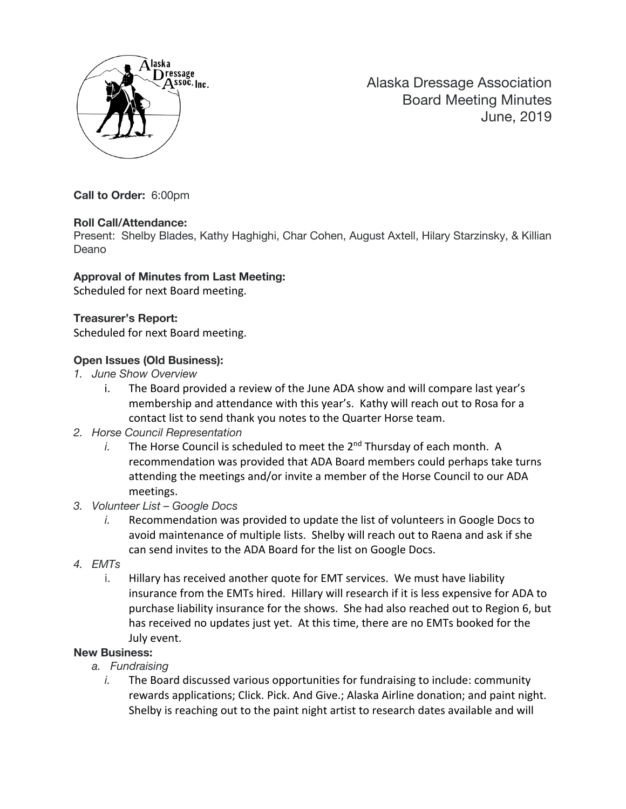

Alaska Dressage Association Board Meeting Minutes June, 2019

**Call to Order:** 6:00pm

## **Roll Call/Attendance:**

Present: Shelby Blades, Kathy Haghighi, Char Cohen, August Axtell, Hilary Starzinsky, & Killian Deano

## **Approval of Minutes from Last Meeting:**

Scheduled for next Board meeting.

## **Treasurer's Report:**

Scheduled for next Board meeting.

# **Open Issues (Old Business):**

- *1. June Show Overview*
	- i. The Board provided a review of the June ADA show and will compare last year's membership and attendance with this year's. Kathy will reach out to Rosa for a contact list to send thank you notes to the Quarter Horse team.
- *2. Horse Council Representation*
	- *i.* The Horse Council is scheduled to meet the  $2^{nd}$  Thursday of each month. A recommendation was provided that ADA Board members could perhaps take turns attending the meetings and/or invite a member of the Horse Council to our ADA meetings.
- *3. Volunteer List – Google Docs*
	- *i.* Recommendation was provided to update the list of volunteers in Google Docs to avoid maintenance of multiple lists. Shelby will reach out to Raena and ask if she can send invites to the ADA Board for the list on Google Docs.
- *4. EMTs*
	- i. Hillary has received another quote for EMT services. We must have liability insurance from the EMTs hired. Hillary will research if it is less expensive for ADA to purchase liability insurance for the shows. She had also reached out to Region 6, but has received no updates just yet. At this time, there are no EMTs booked for the July event.

## **New Business:**

- *a. Fundraising*
	- *i.* The Board discussed various opportunities for fundraising to include: community rewards applications; Click. Pick. And Give.; Alaska Airline donation; and paint night. Shelby is reaching out to the paint night artist to research dates available and will